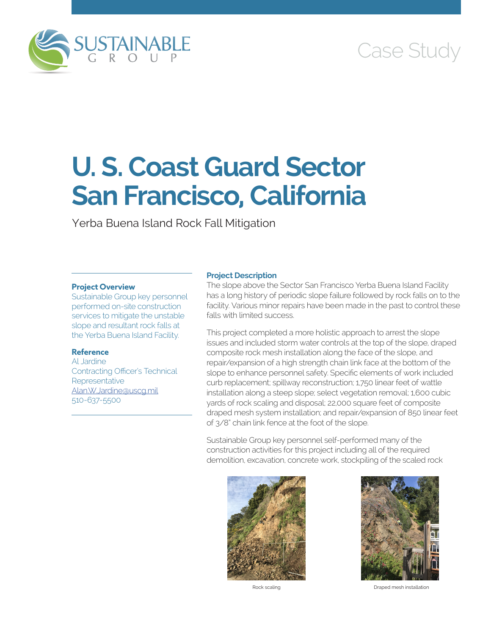

# Case Study

# **U. S. Coast Guard Sector San Francisco, California**

Yerba Buena Island Rock Fall Mitigation

## **Project Overview**

Sustainable Group key personnel performed on-site construction services to mitigate the unstable slope and resultant rock falls at the Yerba Buena Island Facility.

## **Reference**

Al Jardine Contracting Officer's Technical **Representative** [Alan.W.Jardine@uscg.mil](mailto:Alan.W.Jardine@uscg.mil) 510-637-5500

## **Project Description**

The slope above the Sector San Francisco Yerba Buena Island Facility has a long history of periodic slope failure followed by rock falls on to the facility. Various minor repairs have been made in the past to control these falls with limited success.

This project completed a more holistic approach to arrest the slope issues and included storm water controls at the top of the slope, draped composite rock mesh installation along the face of the slope, and repair/expansion of a high strength chain link face at the bottom of the slope to enhance personnel safety. Specific elements of work included curb replacement; spillway reconstruction; 1,750 linear feet of wattle installation along a steep slope; select vegetation removal; 1,600 cubic yards of rock scaling and disposal; 22,000 square feet of composite draped mesh system installation; and repair/expansion of 850 linear feet of 3/8" chain link fence at the foot of the slope.

Sustainable Group key personnel self-performed many of the construction activities for this project including all of the required demolition, excavation, concrete work, stockpiling of the scaled rock





Rock scaling Draped mesh installation